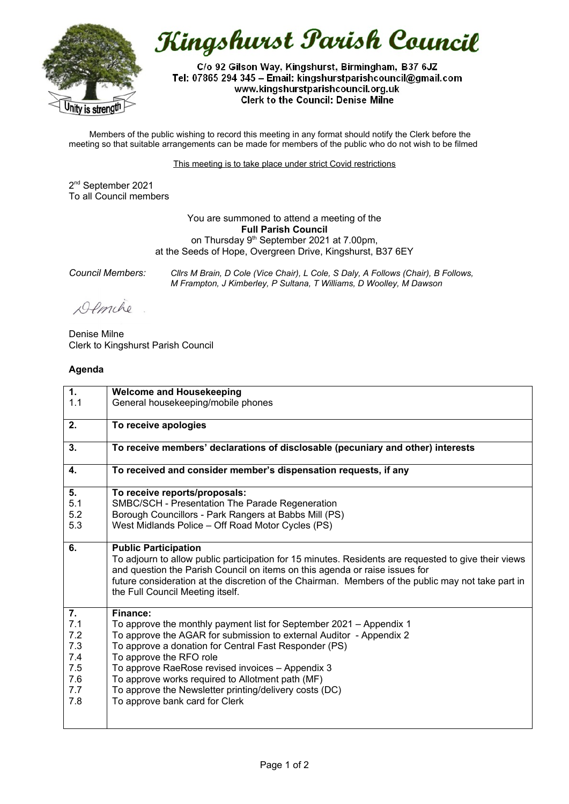

Kingshurst Parish Council

C/o 92 Gilson Way, Kingshurst, Birmingham, B37 6JZ Tel: 07865 294 345 - Email: kingshurstparishcouncil@gmail.com www.kingshurstparishcouncil.org.uk **Clerk to the Council: Denise Milne** 

Members of the public wishing to record this meeting in any format should notify the Clerk before the meeting so that suitable arrangements can be made for members of the public who do not wish to be filmed

This meeting is to take place under strict Covid restrictions

2 nd September 2021 To all Council members

> You are summoned to attend a meeting of the **Full Parish Council** on Thursday 9<sup>th</sup> September 2021 at 7.00pm, at the Seeds of Hope, Overgreen Drive, Kingshurst, B37 6EY

*Council Members: Cllrs M Brain, D Cole (Vice Chair), L Cole, S Daly, A Follows (Chair), B Follows, M Frampton, J Kimberley, P Sultana, T Williams, D Woolley, M Dawson*

Demche

Denise Milne Clerk to Kingshurst Parish Council

## **Agenda**

| 1.  | <b>Welcome and Housekeeping</b>                                                                                                                                                                                                                                                                                                                              |
|-----|--------------------------------------------------------------------------------------------------------------------------------------------------------------------------------------------------------------------------------------------------------------------------------------------------------------------------------------------------------------|
| 1.1 | General housekeeping/mobile phones                                                                                                                                                                                                                                                                                                                           |
| 2.  | To receive apologies                                                                                                                                                                                                                                                                                                                                         |
| 3.  | To receive members' declarations of disclosable (pecuniary and other) interests                                                                                                                                                                                                                                                                              |
| 4.  | To received and consider member's dispensation requests, if any                                                                                                                                                                                                                                                                                              |
| 5.  | To receive reports/proposals:                                                                                                                                                                                                                                                                                                                                |
| 5.1 | SMBC/SCH - Presentation The Parade Regeneration                                                                                                                                                                                                                                                                                                              |
| 5.2 | Borough Councillors - Park Rangers at Babbs Mill (PS)                                                                                                                                                                                                                                                                                                        |
| 5.3 | West Midlands Police - Off Road Motor Cycles (PS)                                                                                                                                                                                                                                                                                                            |
| 6.  | <b>Public Participation</b><br>To adjourn to allow public participation for 15 minutes. Residents are requested to give their views<br>and question the Parish Council on items on this agenda or raise issues for<br>future consideration at the discretion of the Chairman. Members of the public may not take part in<br>the Full Council Meeting itself. |
| 7.  | <b>Finance:</b>                                                                                                                                                                                                                                                                                                                                              |
| 7.1 | To approve the monthly payment list for September 2021 – Appendix 1                                                                                                                                                                                                                                                                                          |
| 7.2 | To approve the AGAR for submission to external Auditor - Appendix 2                                                                                                                                                                                                                                                                                          |
| 7.3 | To approve a donation for Central Fast Responder (PS)                                                                                                                                                                                                                                                                                                        |
| 7.4 | To approve the RFO role                                                                                                                                                                                                                                                                                                                                      |
| 7.5 | To approve RaeRose revised invoices - Appendix 3                                                                                                                                                                                                                                                                                                             |
| 7.6 | To approve works required to Allotment path (MF)                                                                                                                                                                                                                                                                                                             |
| 7.7 | To approve the Newsletter printing/delivery costs (DC)                                                                                                                                                                                                                                                                                                       |
| 7.8 | To approve bank card for Clerk                                                                                                                                                                                                                                                                                                                               |